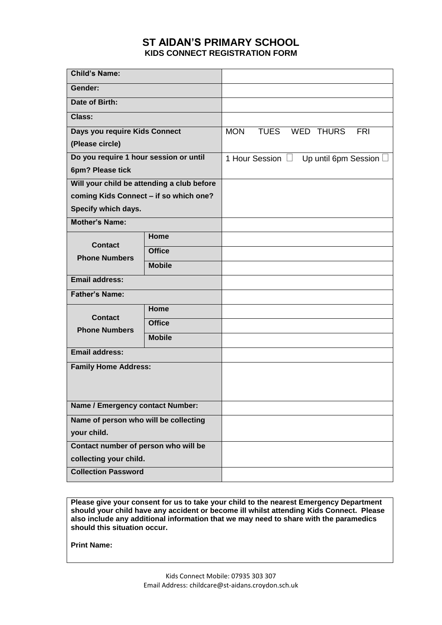## **ST AIDAN'S PRIMARY SCHOOL KIDS CONNECT REGISTRATION FORM**

| <b>Child's Name:</b>                       |               |            |                       |                      |            |
|--------------------------------------------|---------------|------------|-----------------------|----------------------|------------|
| Gender:                                    |               |            |                       |                      |            |
| Date of Birth:                             |               |            |                       |                      |            |
| Class:                                     |               |            |                       |                      |            |
| Days you require Kids Connect              |               | <b>MON</b> | <b>TUES</b>           | <b>WED THURS</b>     | <b>FRI</b> |
| (Please circle)                            |               |            |                       |                      |            |
| Do you require 1 hour session or until     |               |            | 1 Hour Session $\Box$ | Up until 6pm Session |            |
| 6pm? Please tick                           |               |            |                       |                      |            |
| Will your child be attending a club before |               |            |                       |                      |            |
| coming Kids Connect - if so which one?     |               |            |                       |                      |            |
| Specify which days.                        |               |            |                       |                      |            |
| <b>Mother's Name:</b>                      |               |            |                       |                      |            |
| <b>Contact</b><br><b>Phone Numbers</b>     | Home          |            |                       |                      |            |
|                                            | <b>Office</b> |            |                       |                      |            |
|                                            | <b>Mobile</b> |            |                       |                      |            |
| <b>Email address:</b>                      |               |            |                       |                      |            |
| <b>Father's Name:</b>                      |               |            |                       |                      |            |
| <b>Contact</b><br><b>Phone Numbers</b>     | Home          |            |                       |                      |            |
|                                            | <b>Office</b> |            |                       |                      |            |
|                                            | <b>Mobile</b> |            |                       |                      |            |
| <b>Email address:</b>                      |               |            |                       |                      |            |
| <b>Family Home Address:</b>                |               |            |                       |                      |            |
|                                            |               |            |                       |                      |            |
| Name / Emergency contact Number:           |               |            |                       |                      |            |
| Name of person who will be collecting      |               |            |                       |                      |            |
| your child.                                |               |            |                       |                      |            |
| Contact number of person who will be       |               |            |                       |                      |            |
| collecting your child.                     |               |            |                       |                      |            |
| <b>Collection Password</b>                 |               |            |                       |                      |            |

**Please give your consent for us to take your child to the nearest Emergency Department should your child have any accident or become ill whilst attending Kids Connect. Please also include any additional information that we may need to share with the paramedics should this situation occur.**

**Print Name:**